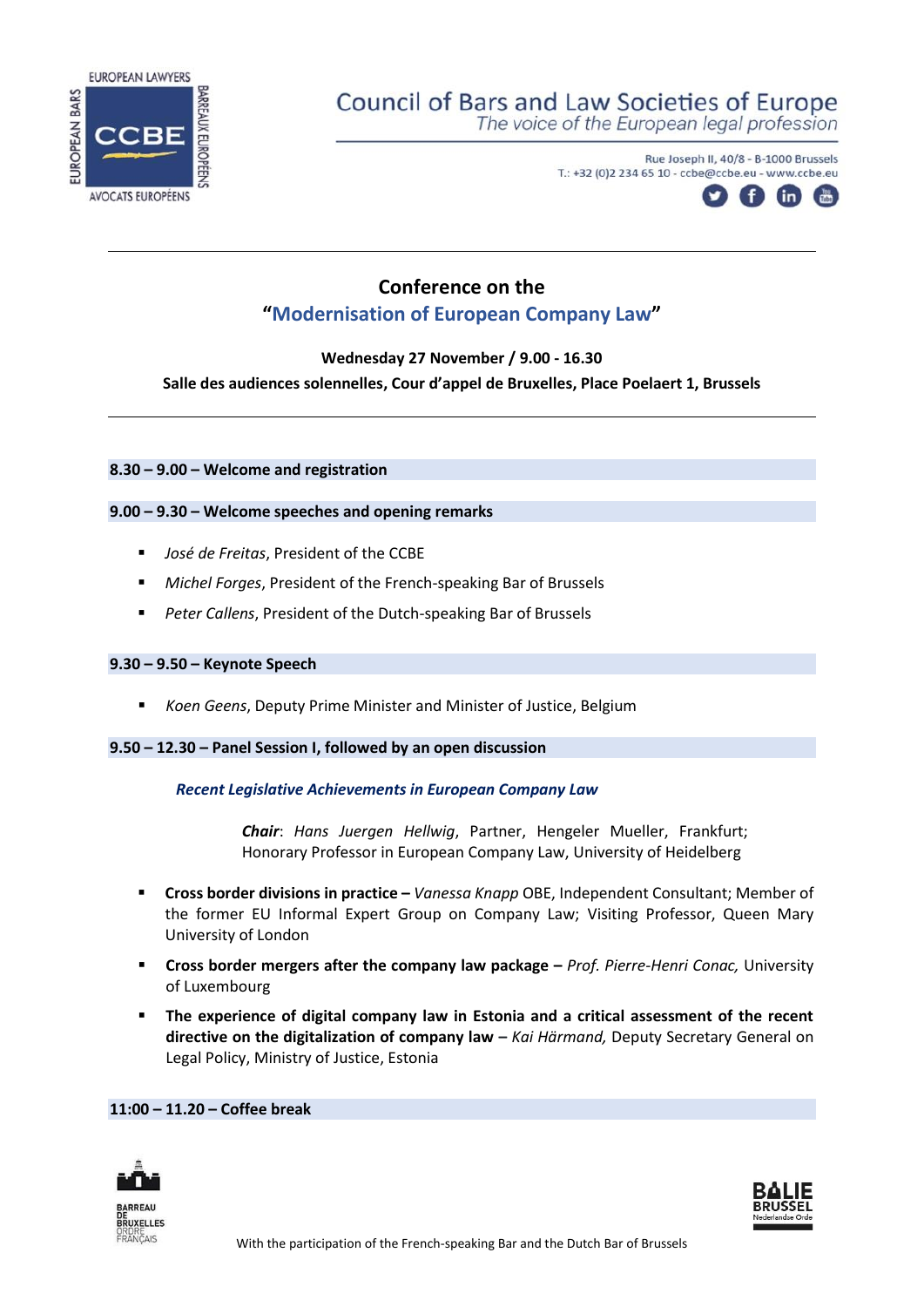

# **Council of Bars and Law Societies of Europe**

The voice of the European legal profession

Rue Joseph II, 40/8 - B-1000 Brussels T.: +32 (0)2 234 65 10 - ccbe@ccbe.eu - www.ccbe.eu



# **Conference on the "Modernisation of European Company Law"**

**Wednesday 27 November / 9.00 - 16.30** 

**Salle des audiences solennelles, Cour d'appel de Bruxelles, Place Poelaert 1, Brussels**

**8.30 – 9.00 – Welcome and registration**

## **9.00 – 9.30 – Welcome speeches and opening remarks**

- *José de Freitas*, President of the CCBE
- *Michel Forges*, President of the French-speaking Bar of Brussels
- *Peter Callens*, President of the Dutch-speaking Bar of Brussels

### **9.30 – 9.50 – Keynote Speech**

■ *Koen Geens*, Deputy Prime Minister and Minister of Justice, Belgium

### **9.50 – 12.30 – Panel Session I, followed by an open discussion**

### *Recent Legislative Achievements in European Company Law*

*Chair*: *Hans Juergen Hellwig*, Partner, Hengeler Mueller, Frankfurt; Honorary Professor in European Company Law, University of Heidelberg

- **Cross border divisions in practice –** *Vanessa Knapp* OBE, Independent Consultant; Member of the former EU Informal Expert Group on Company Law; Visiting Professor, Queen Mary University of London
- **Cross border mergers after the company law package –** *Prof. Pierre-Henri Conac,* University of Luxembourg
- **The experience of digital company law in Estonia and a critical assessment of the recent directive on the digitalization of company law –** *Kai Härmand,* Deputy Secretary General on Legal Policy, Ministry of Justice, Estonia

### **11:00 – 11.20 – Coffee break**